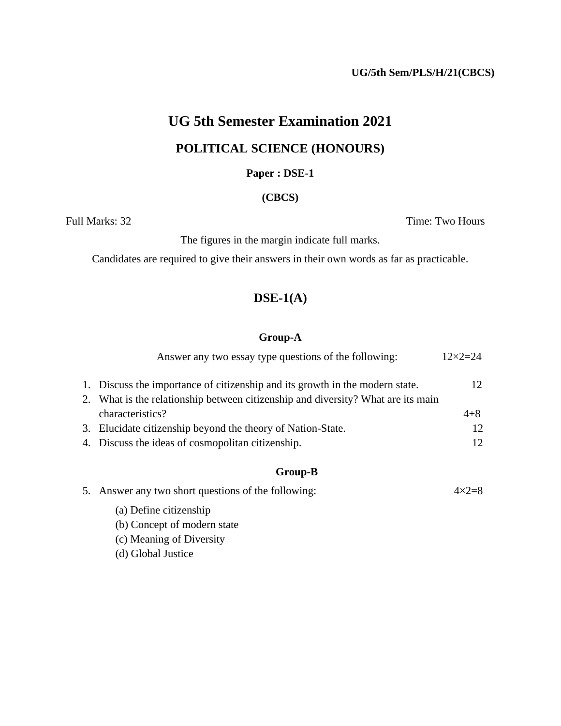**UG/5th Sem/PLS/H/21(CBCS)**

# **UG 5th Semester Examination 2021 POLITICAL SCIENCE (HONOURS)**

#### **Paper : DSE-1**

#### **(CBCS)**

Full Marks: 32 Time: Two Hours

The figures in the margin indicate full marks.

Candidates are required to give their answers in their own words as far as practicable.

### **DSE-1(A)**

#### **Group-A**

|  | Answer any two essay type questions of the following:                                             | $12 \times 2 = 24$   |
|--|---------------------------------------------------------------------------------------------------|----------------------|
|  | 1. Discuss the importance of citizenship and its growth in the modern state.                      | 12.                  |
|  | 2. What is the relationship between citizenship and diversity? What are its main                  |                      |
|  | characteristics?                                                                                  | $4 + 8$              |
|  | 3. Elucidate citizenship beyond the theory of Nation-State.                                       | 12                   |
|  | 4. Discuss the ideas of cosmopolitan citizenship.                                                 | 12                   |
|  | Group-B                                                                                           |                      |
|  | $\epsilon$ . A normal second time the strength second $\epsilon$ of the $\epsilon$ -11 seconds of | $\Lambda$ . $\Omega$ |

|  | 5. Answer any two short questions of the following: | $4\times2=8$ |
|--|-----------------------------------------------------|--------------|
|  | (a) Define citizenship                              |              |
|  | (b) Concept of modern state                         |              |
|  | (c) Meaning of Diversity                            |              |
|  | (d) Global Justice                                  |              |